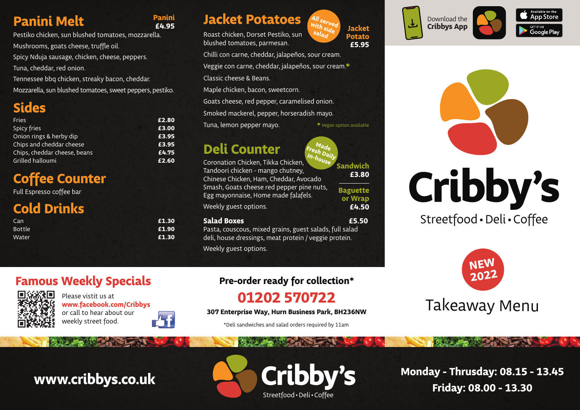## **Panini Melt**

Pestiko chicken, sun blushed tomatoes, mozzarella. Mushrooms, goats cheese, truffle oil. Spicy Nduja sausage, chicken, cheese, peppers. Tuna, cheddar, red onion. Tennessee bbq chicken, streaky bacon, cheddar. Mozzarella, sun blushed tomatoes, sweet peppers, pestiko.

### **Sides**

| <b>Fries</b>                 | £2.80 |
|------------------------------|-------|
| Spicy fries                  | £3.00 |
| Onion rings & herby dip      | £3.95 |
| Chips and cheddar cheese     | £3.95 |
| Chips, cheddar cheese, beans | £4.75 |
| Grilled halloumi             | £2.60 |
|                              |       |

## **Coffee Counter**

Full Espresso coffee bar

## **Cold Drinks**

| Can           | £1.30 |
|---------------|-------|
| <b>Bottle</b> | £1.90 |
| Water         | £1.30 |

### **Jacket Potatoes £4.95 Jacket**

Roast chicken, Dorset Pestiko, sun blushed tomatoes, parmesan.

Chilli con carne, cheddar, jalapeños, sour cream. Veggie con carne, cheddar, jalapeños, sour cream.**\*** Classic cheese & Beans. Maple chicken, bacon, sweetcorn.

**All served with side salad**

**\*** Vegan option available

**Sandwich £3.80**

**Baguette or Wrap £4.50**

**Potato £5.95**

Goats cheese, red pepper, caramelised onion.

Smoked mackerel, pepper, horseradish mayo.

Tuna, lemon pepper mayo.

## **Deli Counter**

Coronation Chicken, Tikka Chicken, Tandoori chicken - mango chutney, Chinese Chicken, Ham, Cheddar, Avocado Smash, Goats cheese red pepper pine nuts, Egg mayonnaise, Home made falafels. Weekly guest options. **Fresh Daily In-house**

### **Salad Boxes £5.50**

Pasta, couscous, mixed grains, guest salads, full salad deli, house dressings, meat protein / veggie protein. Weekly guest options.

# **Pre-order ready for collection\***

### **01202 570722**

**307 Enterprise Way, Hurn Business Park, BH236NW**

\*Deli sandwiches and salad orders required by 11am







# Cribby's

Streetfood•Deli•Coffee



# Takeaway Menu

**Monday - Thrusday: 08.15 - 13.45**

### **Famous Weekly Specials**



Please vistit us at **www.facebook.com/Cribbys** or call to hear about our weekly street food.



**Panini**



**www.cribbys.co.uk**